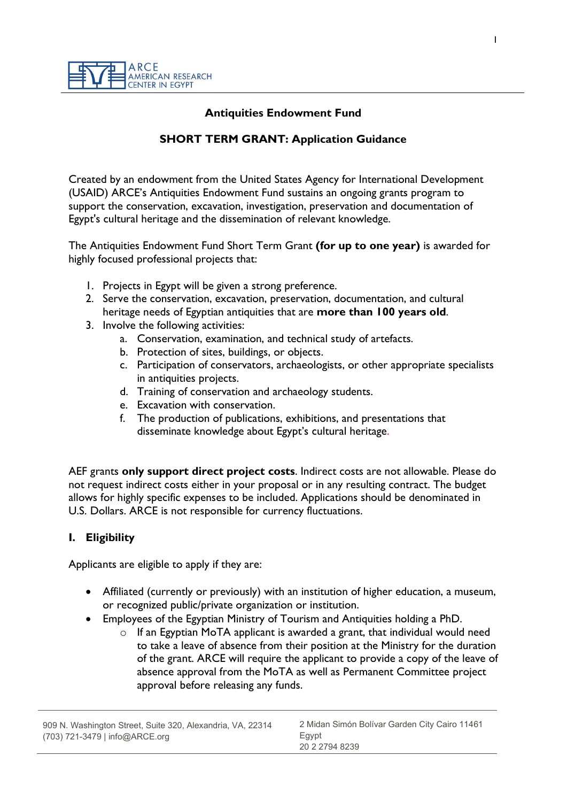#### Antiquities Endowment Fund

## SHORT TERM GRANT: Application Guidance

Created by an endowment from the United States Agency for International Development (USAID) ARCE's Antiquities Endowment Fund sustains an ongoing grants program to support the conservation, excavation, investigation, preservation and documentation of Egypt's cultural heritage and the dissemination of relevant knowledge.

The Antiquities Endowment Fund Short Term Grant (for up to one year) is awarded for highly focused professional projects that:

- 1. Projects in Egypt will be given a strong preference.
- 2. Serve the conservation, excavation, preservation, documentation, and cultural heritage needs of Egyptian antiquities that are more than 100 years old.
- 3. Involve the following activities:
	- a. Conservation, examination, and technical study of artefacts.
	- b. Protection of sites, buildings, or objects.
	- c. Participation of conservators, archaeologists, or other appropriate specialists in antiquities projects.
	- d. Training of conservation and archaeology students.
	- e. Excavation with conservation.
	- f. The production of publications, exhibitions, and presentations that disseminate knowledge about Egypt's cultural heritage.

AEF grants only support direct project costs. Indirect costs are not allowable. Please do not request indirect costs either in your proposal or in any resulting contract. The budget allows for highly specific expenses to be included. Applications should be denominated in U.S. Dollars. ARCE is not responsible for currency fluctuations.

#### I. Eligibility

Applicants are eligible to apply if they are:

- Affiliated (currently or previously) with an institution of higher education, a museum, or recognized public/private organization or institution.
- Employees of the Egyptian Ministry of Tourism and Antiquities holding a PhD.
	- $\circ$  If an Egyptian MoTA applicant is awarded a grant, that individual would need to take a leave of absence from their position at the Ministry for the duration of the grant. ARCE will require the applicant to provide a copy of the leave of absence approval from the MoTA as well as Permanent Committee project approval before releasing any funds.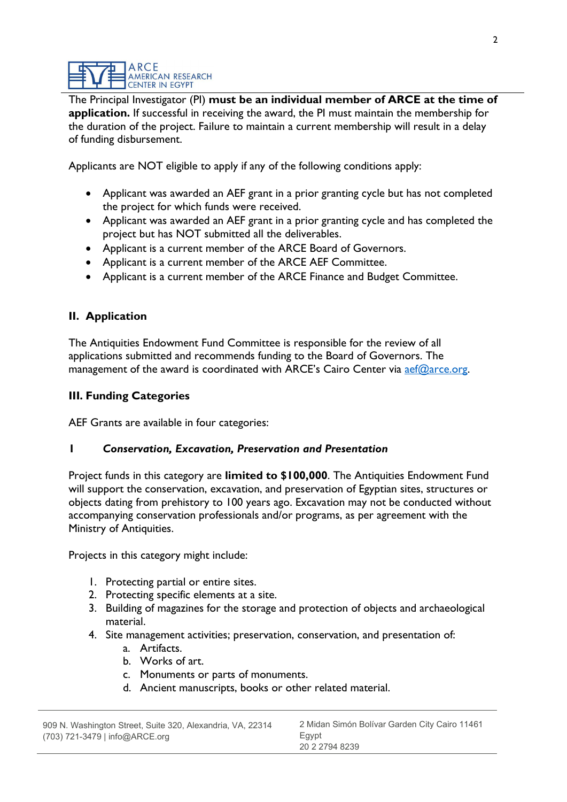The Principal Investigator (PI) must be an individual member of ARCE at the time of application. If successful in receiving the award, the PI must maintain the membership for the duration of the project. Failure to maintain a current membership will result in a delay of funding disbursement.

Applicants are NOT eligible to apply if any of the following conditions apply:

- Applicant was awarded an AEF grant in a prior granting cycle but has not completed the project for which funds were received.
- Applicant was awarded an AEF grant in a prior granting cycle and has completed the project but has NOT submitted all the deliverables.
- Applicant is a current member of the ARCE Board of Governors.
- Applicant is a current member of the ARCE AEF Committee.
- Applicant is a current member of the ARCE Finance and Budget Committee.

## II. Application

The Antiquities Endowment Fund Committee is responsible for the review of all applications submitted and recommends funding to the Board of Governors. The management of the award is coordinated with ARCE's Cairo Center via aef@arce.org.

### III. Funding Categories

AEF Grants are available in four categories:

#### 1 Conservation, Excavation, Preservation and Presentation

Project funds in this category are **limited to \$100,000**. The Antiquities Endowment Fund will support the conservation, excavation, and preservation of Egyptian sites, structures or objects dating from prehistory to 100 years ago. Excavation may not be conducted without accompanying conservation professionals and/or programs, as per agreement with the Ministry of Antiquities.

Projects in this category might include:

- 1. Protecting partial or entire sites.
- 2. Protecting specific elements at a site.
- 3. Building of magazines for the storage and protection of objects and archaeological material.
- 4. Site management activities; preservation, conservation, and presentation of:
	- a. Artifacts.
	- b. Works of art.
	- c. Monuments or parts of monuments.
	- d. Ancient manuscripts, books or other related material.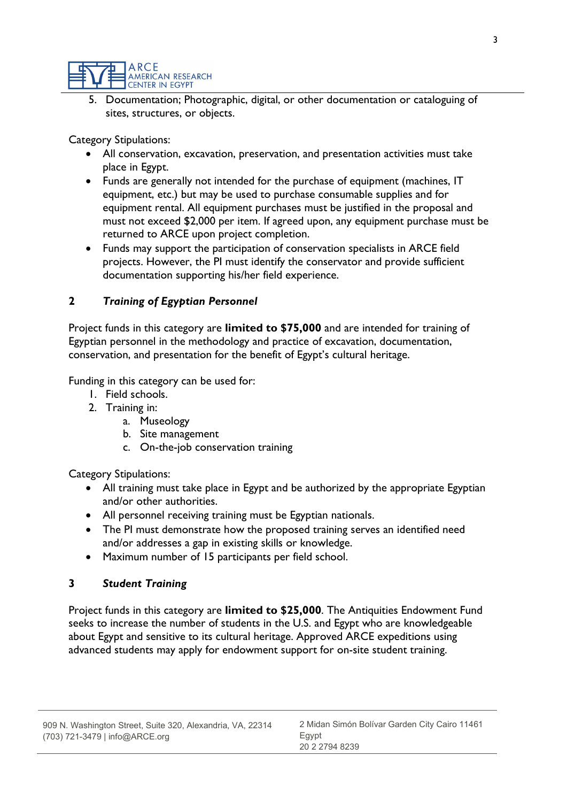

5. Documentation; Photographic, digital, or other documentation or cataloguing of sites, structures, or objects.

Category Stipulations:

- All conservation, excavation, preservation, and presentation activities must take place in Egypt.
- Funds are generally not intended for the purchase of equipment (machines, IT equipment, etc.) but may be used to purchase consumable supplies and for equipment rental. All equipment purchases must be justified in the proposal and must not exceed \$2,000 per item. If agreed upon, any equipment purchase must be returned to ARCE upon project completion.
- Funds may support the participation of conservation specialists in ARCE field projects. However, the PI must identify the conservator and provide sufficient documentation supporting his/her field experience.

#### 2 Training of Egyptian Personnel

Project funds in this category are limited to \$75,000 and are intended for training of Egyptian personnel in the methodology and practice of excavation, documentation, conservation, and presentation for the benefit of Egypt's cultural heritage.

Funding in this category can be used for:

- 1. Field schools.
- 2. Training in:
	- a. Museology
	- b. Site management
	- c. On-the-job conservation training

Category Stipulations:

- All training must take place in Egypt and be authorized by the appropriate Egyptian and/or other authorities.
- All personnel receiving training must be Egyptian nationals.
- The PI must demonstrate how the proposed training serves an identified need and/or addresses a gap in existing skills or knowledge.
- Maximum number of 15 participants per field school.

#### 3 Student Training

Project funds in this category are limited to \$25,000. The Antiquities Endowment Fund seeks to increase the number of students in the U.S. and Egypt who are knowledgeable about Egypt and sensitive to its cultural heritage. Approved ARCE expeditions using advanced students may apply for endowment support for on-site student training.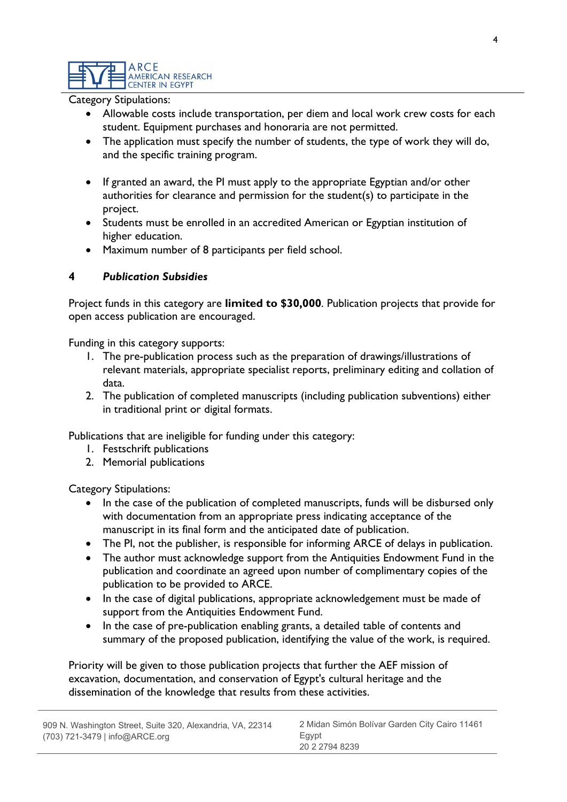ARCE AMERICAN RESEARCH **CENTER IN EGYPT** 

Category Stipulations:

- Allowable costs include transportation, per diem and local work crew costs for each student. Equipment purchases and honoraria are not permitted.
- The application must specify the number of students, the type of work they will do, and the specific training program.
- If granted an award, the PI must apply to the appropriate Egyptian and/or other authorities for clearance and permission for the student(s) to participate in the project.
- Students must be enrolled in an accredited American or Egyptian institution of higher education.
- Maximum number of 8 participants per field school.

#### 4 Publication Subsidies

Project funds in this category are limited to \$30,000. Publication projects that provide for open access publication are encouraged.

Funding in this category supports:

- 1. The pre-publication process such as the preparation of drawings/illustrations of relevant materials, appropriate specialist reports, preliminary editing and collation of data.
- 2. The publication of completed manuscripts (including publication subventions) either in traditional print or digital formats.

Publications that are ineligible for funding under this category:

- 1. Festschrift publications
- 2. Memorial publications

Category Stipulations:

- In the case of the publication of completed manuscripts, funds will be disbursed only with documentation from an appropriate press indicating acceptance of the manuscript in its final form and the anticipated date of publication.
- The PI, not the publisher, is responsible for informing ARCE of delays in publication.
- The author must acknowledge support from the Antiquities Endowment Fund in the publication and coordinate an agreed upon number of complimentary copies of the publication to be provided to ARCE.
- In the case of digital publications, appropriate acknowledgement must be made of support from the Antiquities Endowment Fund.
- In the case of pre-publication enabling grants, a detailed table of contents and summary of the proposed publication, identifying the value of the work, is required.

Priority will be given to those publication projects that further the AEF mission of excavation, documentation, and conservation of Egypt's cultural heritage and the dissemination of the knowledge that results from these activities.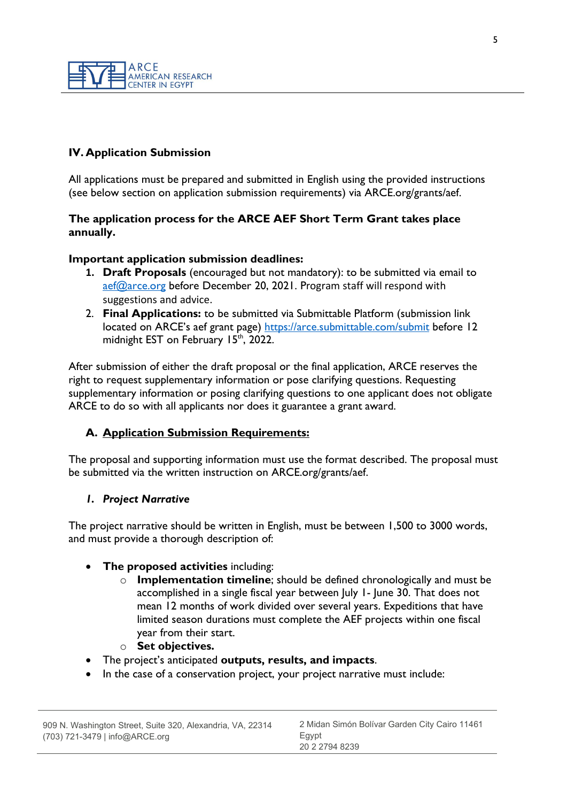

# IV. Application Submission

All applications must be prepared and submitted in English using the provided instructions (see below section on application submission requirements) via ARCE.org/grants/aef.

#### The application process for the ARCE AEF Short Term Grant takes place annually.

#### Important application submission deadlines:

- 1. Draft Proposals (encouraged but not mandatory): to be submitted via email to aef@arce.org before December 20, 2021. Program staff will respond with suggestions and advice.
- 2. Final Applications: to be submitted via Submittable Platform (submission link located on ARCE's aef grant page) https://arce.submittable.com/submit before 12 midnight EST on February  $15<sup>th</sup>$ , 2022.

After submission of either the draft proposal or the final application, ARCE reserves the right to request supplementary information or pose clarifying questions. Requesting supplementary information or posing clarifying questions to one applicant does not obligate ARCE to do so with all applicants nor does it guarantee a grant award.

#### A. Application Submission Requirements:

The proposal and supporting information must use the format described. The proposal must be submitted via the written instruction on ARCE.org/grants/aef.

#### 1. Project Narrative

The project narrative should be written in English, must be between 1,500 to 3000 words, and must provide a thorough description of:

#### The proposed activities including:

- $\circ$  Implementation timeline; should be defined chronologically and must be accomplished in a single fiscal year between July 1- June 30. That does not mean 12 months of work divided over several years. Expeditions that have limited season durations must complete the AEF projects within one fiscal year from their start.
- o Set objectives.
- The project's anticipated outputs, results, and impacts.
- In the case of a conservation project, your project narrative must include: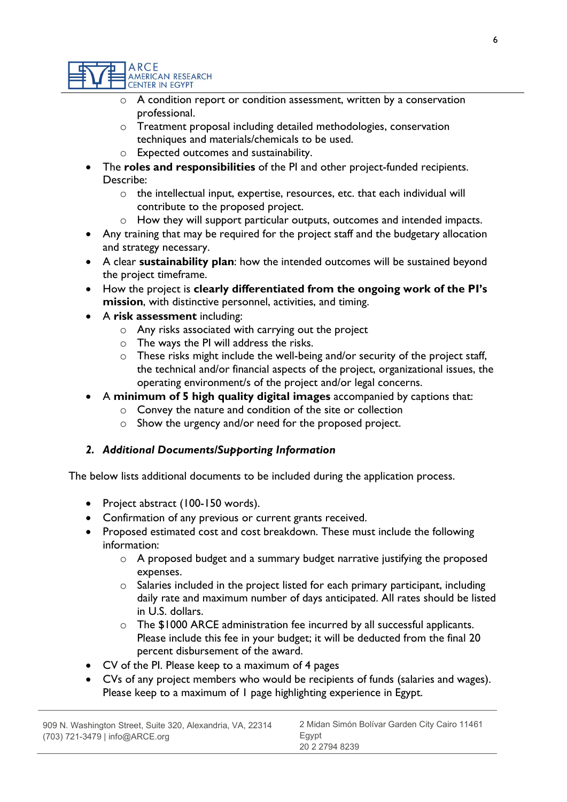

- o A condition report or condition assessment, written by a conservation professional.
- o Treatment proposal including detailed methodologies, conservation techniques and materials/chemicals to be used.
- o Expected outcomes and sustainability.
- The roles and responsibilities of the PI and other project-funded recipients. Describe:
	- o the intellectual input, expertise, resources, etc. that each individual will contribute to the proposed project.
	- o How they will support particular outputs, outcomes and intended impacts.
- Any training that may be required for the project staff and the budgetary allocation and strategy necessary.
- A clear sustainability plan: how the intended outcomes will be sustained beyond the project timeframe.
- How the project is clearly differentiated from the ongoing work of the PI's mission, with distinctive personnel, activities, and timing.
- A risk assessment including:
	- o Any risks associated with carrying out the project
	- o The ways the PI will address the risks.
	- o These risks might include the well-being and/or security of the project staff, the technical and/or financial aspects of the project, organizational issues, the operating environment/s of the project and/or legal concerns.
- A minimum of 5 high quality digital images accompanied by captions that:
	- o Convey the nature and condition of the site or collection
	- o Show the urgency and/or need for the proposed project.

#### 2. Additional Documents/Supporting Information

The below lists additional documents to be included during the application process.

- Project abstract (100-150 words).
- Confirmation of any previous or current grants received.
- Proposed estimated cost and cost breakdown. These must include the following information:
	- o A proposed budget and a summary budget narrative justifying the proposed expenses.
	- o Salaries included in the project listed for each primary participant, including daily rate and maximum number of days anticipated. All rates should be listed in U.S. dollars.
	- o The \$1000 ARCE administration fee incurred by all successful applicants. Please include this fee in your budget; it will be deducted from the final 20 percent disbursement of the award.
- CV of the PI. Please keep to a maximum of 4 pages
- CVs of any project members who would be recipients of funds (salaries and wages). Please keep to a maximum of 1 page highlighting experience in Egypt.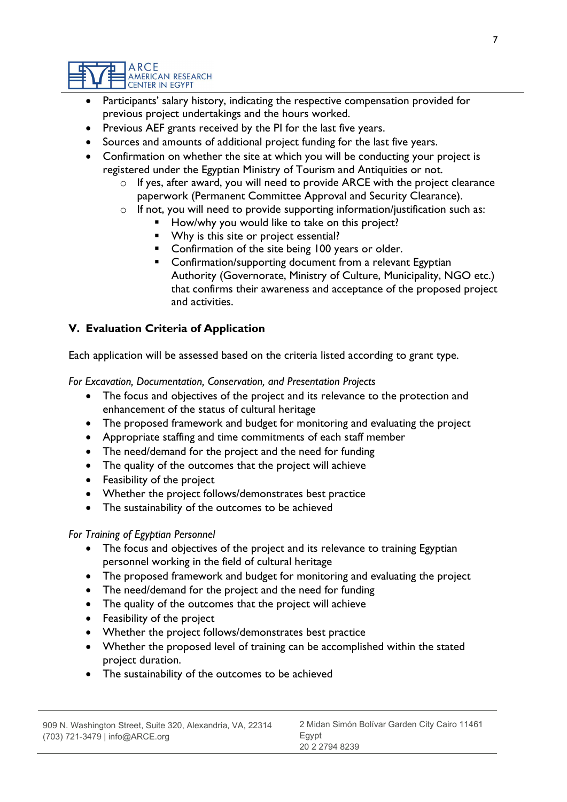

- Participants' salary history, indicating the respective compensation provided for previous project undertakings and the hours worked.
- Previous AEF grants received by the PI for the last five years.
- Sources and amounts of additional project funding for the last five years.
- Confirmation on whether the site at which you will be conducting your project is registered under the Egyptian Ministry of Tourism and Antiquities or not.
	- o If yes, after award, you will need to provide ARCE with the project clearance paperwork (Permanent Committee Approval and Security Clearance).
	- o If not, you will need to provide supporting information/justification such as:
		- How/why you would like to take on this project?
		- Why is this site or project essential?
		- Confirmation of the site being 100 years or older.
		- **EXECONFILTION** Confirmation/supporting document from a relevant Egyptian Authority (Governorate, Ministry of Culture, Municipality, NGO etc.) that confirms their awareness and acceptance of the proposed project and activities.

# V. Evaluation Criteria of Application

Each application will be assessed based on the criteria listed according to grant type.

For Excavation, Documentation, Conservation, and Presentation Projects

- The focus and objectives of the project and its relevance to the protection and enhancement of the status of cultural heritage
- The proposed framework and budget for monitoring and evaluating the project
- Appropriate staffing and time commitments of each staff member
- The need/demand for the project and the need for funding
- The quality of the outcomes that the project will achieve
- Feasibility of the project
- Whether the project follows/demonstrates best practice
- The sustainability of the outcomes to be achieved

For Training of Egyptian Personnel

- The focus and objectives of the project and its relevance to training Egyptian personnel working in the field of cultural heritage
- The proposed framework and budget for monitoring and evaluating the project
- The need/demand for the project and the need for funding
- The quality of the outcomes that the project will achieve
- Feasibility of the project
- Whether the project follows/demonstrates best practice
- Whether the proposed level of training can be accomplished within the stated project duration.
- The sustainability of the outcomes to be achieved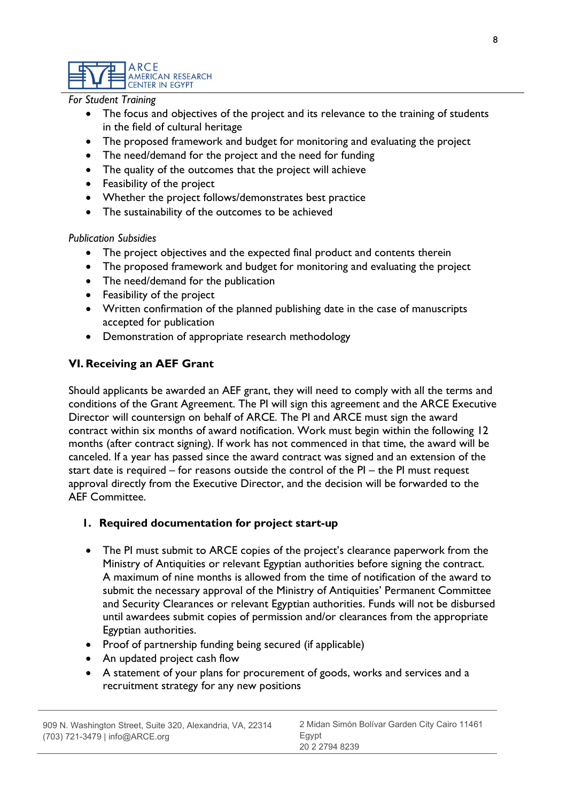ARCE AMERICAN RESEARCH **CENTER IN EGYPT** 

For Student Training

- The focus and objectives of the project and its relevance to the training of students in the field of cultural heritage
- The proposed framework and budget for monitoring and evaluating the project
- The need/demand for the project and the need for funding
- The quality of the outcomes that the project will achieve
- Feasibility of the project
- Whether the project follows/demonstrates best practice
- The sustainability of the outcomes to be achieved

#### Publication Subsidies

- The project objectives and the expected final product and contents therein
- The proposed framework and budget for monitoring and evaluating the project
- The need/demand for the publication
- Feasibility of the project
- Written confirmation of the planned publishing date in the case of manuscripts accepted for publication
- Demonstration of appropriate research methodology

## VI. Receiving an AEF Grant

Should applicants be awarded an AEF grant, they will need to comply with all the terms and conditions of the Grant Agreement. The PI will sign this agreement and the ARCE Executive Director will countersign on behalf of ARCE. The PI and ARCE must sign the award contract within six months of award notification. Work must begin within the following 12 months (after contract signing). If work has not commenced in that time, the award will be canceled. If a year has passed since the award contract was signed and an extension of the start date is required – for reasons outside the control of the PI – the PI must request approval directly from the Executive Director, and the decision will be forwarded to the AEF Committee.

#### 1. Required documentation for project start-up

- The PI must submit to ARCE copies of the project's clearance paperwork from the Ministry of Antiquities or relevant Egyptian authorities before signing the contract. A maximum of nine months is allowed from the time of notification of the award to submit the necessary approval of the Ministry of Antiquities' Permanent Committee and Security Clearances or relevant Egyptian authorities. Funds will not be disbursed until awardees submit copies of permission and/or clearances from the appropriate Egyptian authorities.
- Proof of partnership funding being secured (if applicable)
- An updated project cash flow
- A statement of your plans for procurement of goods, works and services and a recruitment strategy for any new positions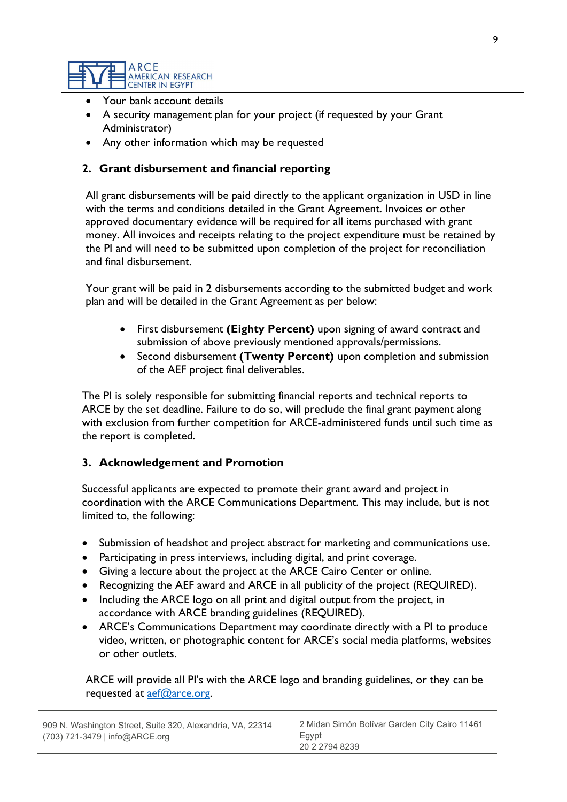

- Your bank account details
- A security management plan for your project (if requested by your Grant Administrator)
- Any other information which may be requested

## 2. Grant disbursement and financial reporting

All grant disbursements will be paid directly to the applicant organization in USD in line with the terms and conditions detailed in the Grant Agreement. Invoices or other approved documentary evidence will be required for all items purchased with grant money. All invoices and receipts relating to the project expenditure must be retained by the PI and will need to be submitted upon completion of the project for reconciliation and final disbursement.

Your grant will be paid in 2 disbursements according to the submitted budget and work plan and will be detailed in the Grant Agreement as per below:

- First disbursement (Eighty Percent) upon signing of award contract and submission of above previously mentioned approvals/permissions.
- Second disbursement (Twenty Percent) upon completion and submission of the AEF project final deliverables.

The PI is solely responsible for submitting financial reports and technical reports to ARCE by the set deadline. Failure to do so, will preclude the final grant payment along with exclusion from further competition for ARCE-administered funds until such time as the report is completed.

#### 3. Acknowledgement and Promotion

Successful applicants are expected to promote their grant award and project in coordination with the ARCE Communications Department. This may include, but is not limited to, the following:

- Submission of headshot and project abstract for marketing and communications use.
- Participating in press interviews, including digital, and print coverage.
- Giving a lecture about the project at the ARCE Cairo Center or online.
- Recognizing the AEF award and ARCE in all publicity of the project (REQUIRED).
- Including the ARCE logo on all print and digital output from the project, in accordance with ARCE branding guidelines (REQUIRED).
- ARCE's Communications Department may coordinate directly with a PI to produce video, written, or photographic content for ARCE's social media platforms, websites or other outlets.

ARCE will provide all PI's with the ARCE logo and branding guidelines, or they can be requested at aef@arce.org.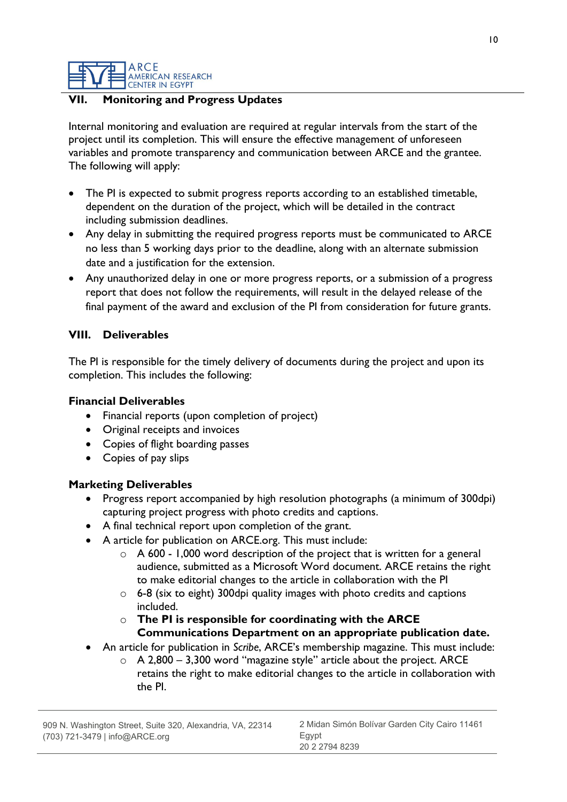ARCE **AMERICAN RESEARCH CENTER IN EGYPT** 

### **Monitoring and Progress Updates**

Internal monitoring and evaluation are required at regular intervals from the start of the project until its completion. This will ensure the effective management of unforeseen variables and promote transparency and communication between ARCE and the grantee. The following will apply:

- The PI is expected to submit progress reports according to an established timetable, dependent on the duration of the project, which will be detailed in the contract including submission deadlines.
- Any delay in submitting the required progress reports must be communicated to ARCE no less than 5 working days prior to the deadline, along with an alternate submission date and a justification for the extension.
- Any unauthorized delay in one or more progress reports, or a submission of a progress report that does not follow the requirements, will result in the delayed release of the final payment of the award and exclusion of the PI from consideration for future grants.

#### VIII. Deliverables

The PI is responsible for the timely delivery of documents during the project and upon its completion. This includes the following:

#### Financial Deliverables

- Financial reports (upon completion of project)
- Original receipts and invoices
- Copies of flight boarding passes
- Copies of pay slips

#### Marketing Deliverables

- Progress report accompanied by high resolution photographs (a minimum of 300dpi) capturing project progress with photo credits and captions.
- A final technical report upon completion of the grant.
- A article for publication on ARCE.org. This must include:
	- $\circ$  A 600 1,000 word description of the project that is written for a general audience, submitted as a Microsoft Word document. ARCE retains the right to make editorial changes to the article in collaboration with the PI
	- $\circ$  6-8 (six to eight) 300 dpi quality images with photo credits and captions included.
	- $\circ$  The PI is responsible for coordinating with the ARCE Communications Department on an appropriate publication date.
- An article for publication in Scribe, ARCE's membership magazine. This must include:
	- $\circ$  A 2,800 3,300 word "magazine style" article about the project. ARCE retains the right to make editorial changes to the article in collaboration with the PI.